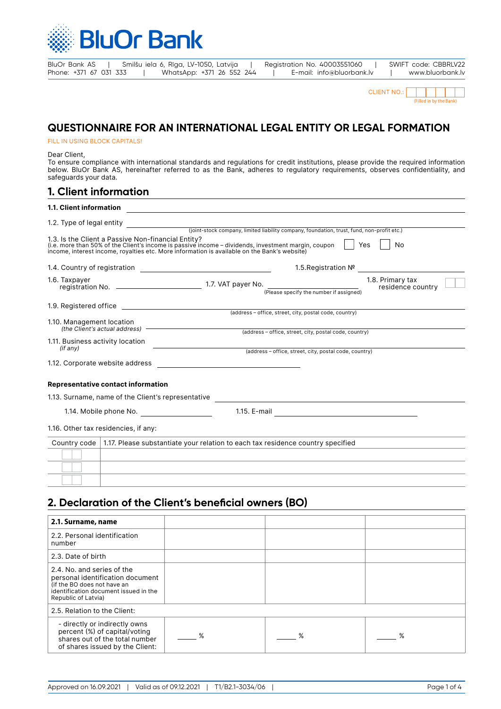

| BluOr Bank AS          |  | Smilšu iela 6, Rīga, LV-1050, Latvija |  | Registration No. 40003551060 | SWIFT code: CBBRLV22 |
|------------------------|--|---------------------------------------|--|------------------------------|----------------------|
| Phone: +371 67 031 333 |  | WhatsApp: +371 26 552 244             |  | E-mail: info@bluorbank.lv    | www.bluorbank.lv     |

| $CI$ IFNT NO: |                         |  |  |  |  |  |
|---------------|-------------------------|--|--|--|--|--|
|               | (Filled in by the Bank) |  |  |  |  |  |

# **QUESTIONNAIRE FOR AN INTERNATIONAL LEGAL ENTITY OR LEGAL FORMATION**

#### FILL IN USING BLOCK CAPITALS!

Dear Client,

To ensure compliance with international standards and regulations for credit institutions, please provide the required information below. BluOr Bank AS, hereinafter referred to as the Bank, adheres to regulatory requirements, observes confidentiality, and safeguards your data.

| 1. Client information                              |                                                                                                                                                                                                                                      |
|----------------------------------------------------|--------------------------------------------------------------------------------------------------------------------------------------------------------------------------------------------------------------------------------------|
|                                                    | 1.1. Client information <b>and the contract of the contract of the contract of the contract of the contract of the contract of the contract of the contract of the contract of the contract of the contract of the contract of t</b> |
|                                                    |                                                                                                                                                                                                                                      |
| 1.3. Is the Client a Passive Non-financial Entity? | Yes<br>(i.e. more than 50% of the Client's income is passive income - dividends, investment margin, coupon<br>No<br>income, interest income, royalties etc. More information is available on the Bank's website)                     |
|                                                    | 1.5. Registration Nº                                                                                                                                                                                                                 |
|                                                    | 1.8. Primary tax<br>residence country<br>(Please specify the number if assigned)                                                                                                                                                     |
|                                                    |                                                                                                                                                                                                                                      |
| 1.10. Management location                          | (address - office, street, city, postal code, country)                                                                                                                                                                               |
| 1.11. Business activity location<br>(if any)       | <u> 1989 - Johann Barn, amerikansk politiker (</u>                                                                                                                                                                                   |
|                                                    | (address - office, street, city, postal code, country)                                                                                                                                                                               |
| Representative contact information                 |                                                                                                                                                                                                                                      |
|                                                    |                                                                                                                                                                                                                                      |
| 1.14. Mobile phone No.                             |                                                                                                                                                                                                                                      |
| 1.16. Other tax residencies, if any:               |                                                                                                                                                                                                                                      |
|                                                    | Country code   1.17. Please substantiate your relation to each tax residence country specified                                                                                                                                       |
|                                                    |                                                                                                                                                                                                                                      |
|                                                    |                                                                                                                                                                                                                                      |
|                                                    |                                                                                                                                                                                                                                      |

# **2. Declaration of the Client's beneficial owners (BO)**

| 2.1. Surname, name                                                                                                                                            |   |   |   |
|---------------------------------------------------------------------------------------------------------------------------------------------------------------|---|---|---|
| 2.2. Personal identification<br>number                                                                                                                        |   |   |   |
| 2.3. Date of birth                                                                                                                                            |   |   |   |
| 2.4. No. and series of the<br>personal identification document<br>(if the BO does not have an<br>identification document issued in the<br>Republic of Latvia) |   |   |   |
| 2.5. Relation to the Client:                                                                                                                                  |   |   |   |
| - directly or indirectly owns<br>percent (%) of capital/voting<br>shares out of the total number<br>of shares issued by the Client:                           | ℅ | % | % |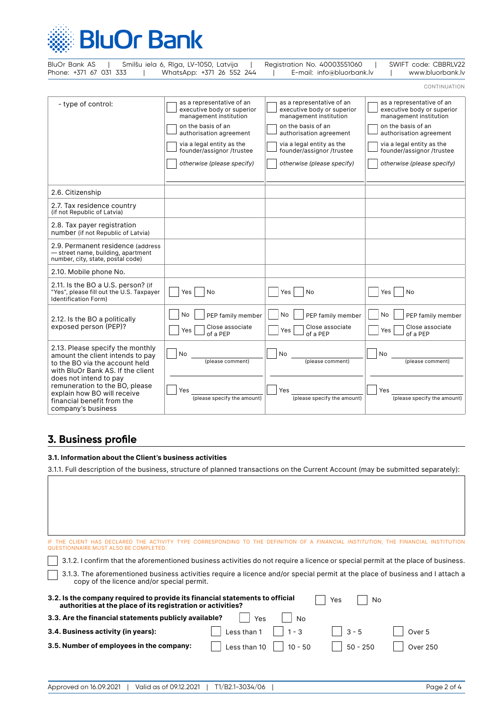

| BluOr Bank AS<br>Phone: +371 67 031 333                                                                                                     | Smilšu iela 6, Rīga, LV-1050, Latvija<br>WhatsApp: +371 26 552 244                                                                                                                                                         | Registration No. 40003551060<br>E-mail: info@bluorbank.lv                                                                                                                                                                  | SWIFT code: CBBRLV22<br>www.bluorbank.lv                                                                                                                                                                                   |
|---------------------------------------------------------------------------------------------------------------------------------------------|----------------------------------------------------------------------------------------------------------------------------------------------------------------------------------------------------------------------------|----------------------------------------------------------------------------------------------------------------------------------------------------------------------------------------------------------------------------|----------------------------------------------------------------------------------------------------------------------------------------------------------------------------------------------------------------------------|
|                                                                                                                                             |                                                                                                                                                                                                                            |                                                                                                                                                                                                                            | CONTINUATION                                                                                                                                                                                                               |
| - type of control:                                                                                                                          | as a representative of an<br>executive body or superior<br>management institution<br>on the basis of an<br>authorisation agreement<br>via a legal entity as the<br>founder/assignor /trustee<br>otherwise (please specify) | as a representative of an<br>executive body or superior<br>management institution<br>on the basis of an<br>authorisation agreement<br>via a legal entity as the<br>founder/assignor /trustee<br>otherwise (please specify) | as a representative of an<br>executive body or superior<br>management institution<br>on the basis of an<br>authorisation agreement<br>via a legal entity as the<br>founder/assignor /trustee<br>otherwise (please specify) |
| 2.6. Citizenship                                                                                                                            |                                                                                                                                                                                                                            |                                                                                                                                                                                                                            |                                                                                                                                                                                                                            |
| 2.7. Tax residence country<br>(if not Republic of Latvia)                                                                                   |                                                                                                                                                                                                                            |                                                                                                                                                                                                                            |                                                                                                                                                                                                                            |
| 2.8. Tax payer registration<br>number (if not Republic of Latvia)                                                                           |                                                                                                                                                                                                                            |                                                                                                                                                                                                                            |                                                                                                                                                                                                                            |
| 2.9. Permanent residence (address<br>- street name, building, apartment<br>number, city, state, postal code)                                |                                                                                                                                                                                                                            |                                                                                                                                                                                                                            |                                                                                                                                                                                                                            |
| 2.10. Mobile phone No.                                                                                                                      |                                                                                                                                                                                                                            |                                                                                                                                                                                                                            |                                                                                                                                                                                                                            |
| 2.11. Is the BO a U.S. person? (if<br>"Yes", please fill out the U.S. Taxpayer<br><b>Identification Form)</b>                               | Yes<br>No                                                                                                                                                                                                                  | No<br>Yes                                                                                                                                                                                                                  | <b>No</b><br>Yes                                                                                                                                                                                                           |
| 2.12. Is the BO a politically<br>exposed person (PEP)?                                                                                      | No<br>PEP family member<br>Close associate<br>Yes<br>of a PEP                                                                                                                                                              | No<br>PEP family member<br>Close associate<br>Yes<br>of a PEP                                                                                                                                                              | <b>No</b><br>PEP family member<br>Close associate<br>Yes<br>of a PEP                                                                                                                                                       |
| 2.13. Please specify the monthly<br>amount the client intends to pay<br>to the BO via the account held<br>with BluOr Bank AS. If the client | No<br>(please comment)                                                                                                                                                                                                     | No<br>(please comment)                                                                                                                                                                                                     | No<br>(please comment)                                                                                                                                                                                                     |
| does not intend to pay<br>remuneration to the BO, please<br>explain how BO will receive<br>financial benefit from the<br>company's business | Yes<br>(please specify the amount)                                                                                                                                                                                         | Yes<br>(please specify the amount)                                                                                                                                                                                         | Yes<br>(please specify the amount)                                                                                                                                                                                         |

# **3. Business profile**

### **3.1. Information about the Client's business activities**

3.1.1. Full description of the business, structure of planned transactions on the Current Account (may be submitted separately):

| QUESTIONNAIRE MUST ALSO BE COMPLETED.                                                                                                       |                                                                                                                                                                             |            | <b>FINANCIAL INSTITUTION. THE FINANCIAL INSTITU</b> |  |  |  |  |  |
|---------------------------------------------------------------------------------------------------------------------------------------------|-----------------------------------------------------------------------------------------------------------------------------------------------------------------------------|------------|-----------------------------------------------------|--|--|--|--|--|
| 3.1.2. I confirm that the aforementioned business activities do not require a licence or special permit at the place of business.           |                                                                                                                                                                             |            |                                                     |  |  |  |  |  |
|                                                                                                                                             | 3.1.3. The aforementioned business activities require a licence and/or special permit at the place of business and I attach a<br>copy of the licence and/or special permit. |            |                                                     |  |  |  |  |  |
| 3.2. Is the company required to provide its financial statements to official<br>authorities at the place of its registration or activities? |                                                                                                                                                                             | No<br>Yes  |                                                     |  |  |  |  |  |
| 3.3. Are the financial statements publicly available?                                                                                       | Yes<br>No.                                                                                                                                                                  |            |                                                     |  |  |  |  |  |
| 3.4. Business activity (in years):                                                                                                          | Less than 1<br>$1 - 3$                                                                                                                                                      | $3 - 5$    | Over 5                                              |  |  |  |  |  |
| 3.5. Number of employees in the company:                                                                                                    | ess than 10<br>$10 - 50$                                                                                                                                                    | $50 - 250$ | <b>Over 250</b>                                     |  |  |  |  |  |
|                                                                                                                                             |                                                                                                                                                                             |            |                                                     |  |  |  |  |  |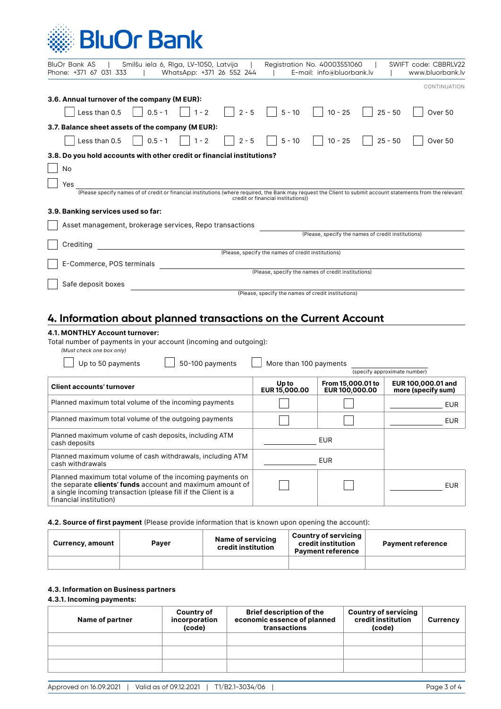# **BluOr Bank**

| Smilšu iela 6, Rīga, LV-1050, Latvija<br>Registration No. 40003551060<br>SWIFT code: CBBRLV22<br>BluOr Bank AS  <br>Phone: +371 67 031 333<br>WhatsApp: +371 26 552 244<br>E-mail: info@bluorbank.lv<br>www.bluorbank.lv |
|--------------------------------------------------------------------------------------------------------------------------------------------------------------------------------------------------------------------------|
| CONTINUATION                                                                                                                                                                                                             |
| 3.6. Annual turnover of the company (MEUR):                                                                                                                                                                              |
| $  5 - 10$<br>$0.5 - 1$<br>$1 - 2$<br>$2 - 5$<br>$10 - 25$<br>$25 - 50$<br>Less than 0.5<br>Over 50                                                                                                                      |
| 3.7. Balance sheet assets of the company (M EUR):                                                                                                                                                                        |
| $5 - 10$   10 - 25<br>$2 - 5$<br>$\vert$ 0.5 - 1<br>$1 - 2$<br>$25 - 50$<br>Less than 0.5<br>Over 50<br>$\perp$                                                                                                          |
| 3.8. Do you hold accounts with other credit or financial institutions?                                                                                                                                                   |
| No                                                                                                                                                                                                                       |
| Yes                                                                                                                                                                                                                      |
| (Please specify names of of credit or financial institutions (where required, the Bank may request the Client to submit account statements from the relevant<br>credit or financial institutions))                       |
| 3.9. Banking services used so far:<br>Asset management, brokerage services, Repo transactions                                                                                                                            |
| (Please, specify the names of credit institutions)                                                                                                                                                                       |
| Crediting                                                                                                                                                                                                                |
| (Please, specify the names of credit institutions)                                                                                                                                                                       |
| E-Commerce, POS terminals<br>(Please, specify the names of credit institutions)                                                                                                                                          |
| Safe deposit boxes                                                                                                                                                                                                       |
| (Please, specify the names of credit institutions)                                                                                                                                                                       |
| 4. Information about planned transactions on the Current Account                                                                                                                                                         |
| 4.1. MONTHLY Account turnover:<br>Total number of payments in your account (incoming and outgoing).                                                                                                                      |

Total number of payments in your account (incoming and outgoing):

| (Must check one box only)                                                                                                                                                                                        |                        |                                     |                                          |
|------------------------------------------------------------------------------------------------------------------------------------------------------------------------------------------------------------------|------------------------|-------------------------------------|------------------------------------------|
| Up to 50 payments<br>50-100 payments                                                                                                                                                                             | More than 100 payments |                                     | (specify approximate number)             |
|                                                                                                                                                                                                                  |                        |                                     |                                          |
| <b>Client accounts' turnover</b>                                                                                                                                                                                 | Up to<br>EUR 15,000.00 | From 15,000.01 to<br>EUR 100,000.00 | EUR 100,000.01 and<br>more (specify sum) |
| Planned maximum total volume of the incoming payments                                                                                                                                                            |                        |                                     | EUR                                      |
| Planned maximum total volume of the outgoing payments                                                                                                                                                            |                        |                                     | EUR                                      |
| Planned maximum volume of cash deposits, including ATM<br>cash deposits                                                                                                                                          |                        | <b>EUR</b>                          |                                          |
| Planned maximum volume of cash withdrawals, including ATM<br>cash withdrawals                                                                                                                                    |                        | EUR                                 |                                          |
| Planned maximum total volume of the incoming payments on<br>the separate clients' funds account and maximum amount of<br>a single incoming transaction (please fill if the Client is a<br>financial institution) |                        |                                     | EUR                                      |

#### **4.2. Source of first payment** (Please provide information that is known upon opening the account):

| Currency, amount | Paver | Name of servicing<br>credit institution | <b>Country of servicing</b><br>credit institution<br><b>Payment reference</b> | <b>Payment reference</b> |
|------------------|-------|-----------------------------------------|-------------------------------------------------------------------------------|--------------------------|
|                  |       |                                         |                                                                               |                          |

## **4.3. Information on Business partners**

#### **4.3.1. Incoming payments:**

| Name of partner | Country of<br>incorporation<br>(code) | <b>Brief description of the</b><br>economic essence of planned<br>transactions | <b>Country of servicing</b><br>credit institution<br>(code) | Currency |
|-----------------|---------------------------------------|--------------------------------------------------------------------------------|-------------------------------------------------------------|----------|
|                 |                                       |                                                                                |                                                             |          |
|                 |                                       |                                                                                |                                                             |          |
|                 |                                       |                                                                                |                                                             |          |